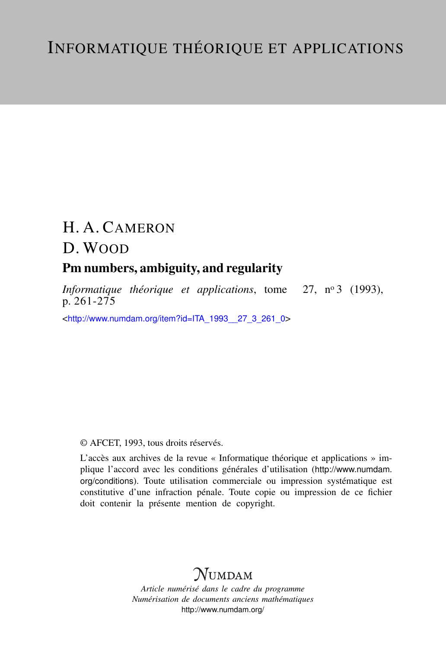# H. A. CAMERON

## D. WOOD

### Pm numbers, ambiguity, and regularity

*Informatique théorique et applications*, tome 27, nº 3 (1993), p. 261-275

<[http://www.numdam.org/item?id=ITA\\_1993\\_\\_27\\_3\\_261\\_0](http://www.numdam.org/item?id=ITA_1993__27_3_261_0)>

### © AFCET, 1993, tous droits réservés.

L'accès aux archives de la revue « Informatique théorique et applications » implique l'accord avec les conditions générales d'utilisation ([http://www.numdam.](http://www.numdam.org/conditions) [org/conditions](http://www.numdam.org/conditions)). Toute utilisation commerciale ou impression systématique est constitutive d'une infraction pénale. Toute copie ou impression de ce fichier doit contenir la présente mention de copyright.

## **NUMDAM**

*Article numérisé dans le cadre du programme Numérisation de documents anciens mathématiques* <http://www.numdam.org/>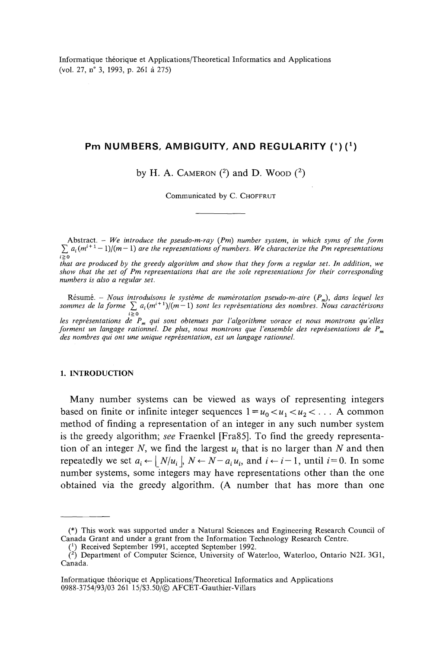Informatique théorique et Applications/Theoretical Informaties and Applications (vol. 27, n° 3, 1993, p. 261 à 275)

### **P m NUMBERS , AMBIGUITY , AN D REGULARIT Y (\*) ( <sup>x</sup> )**

by H. A. CAMERON  $(2)$  and D. Woop  $(2)$ 

Communicated by C. CHOFFRUT

Abstract. — *We introducé the pseudo-m-ray (Pm) number system, in which syms of the form*  $\sum a_i(m^{i+1}-1)/(m-1)$  are the representations of numbers. We characterize the Pm representations

*that are produced by the greedy algorithm and show that they form a regular set. In addition, we* show that the set of Pm representations that are the sole representations for their corresponding *numbers is also a regular set.*

Résumé. – *Nous introduisons le système de numérotation pseudo-m-aire*  $(P_m)$ , dans lequel les  $s$ ommes de la forme  $\sum\,a_i(m^{i+1})/(m-1)$  sont les représentations des nombres. Nous caractérisons *les représentations de Pm qui sont obtenues par l'algorithme vorace et nous montrons qu'elles forment un langage rationnel. De plus^ nous montrons que l'ensemble des représentations de P<sup>m</sup>*

*des nombres qui ont une unique représentation, est un langage rationnel.*

#### **1. INTRODUCTION**

Many number Systems can be viewed as ways of representing integers based on finite or infinite integer sequences  $1 = u_0 < u_1 < u_2 < \dots$  A common method of finding a representation of an integer in any such number system is the greedy algorithm; *see* Fraenkel [Fra85]. To find the greedy représentation of an integer *N,* we find the largest *u<sup>t</sup>* that is no larger than *N* and then repeatedly we set  $a_i \leftarrow |\ N/u_i|$ ,  $N \leftarrow N - a_i u_i$ , and  $i \leftarrow i - 1$ , until  $i = 0$ . In some number systems, some integers may have representations other than the one obtained via the greedy algorithm. (A number that has more than one

<sup>(\*)</sup> This work was supported under a Natural Sciences and Engineering Research Council of Canada Grant and under a grant from the Information Technology Research Centre.

 $(1)$  Received September 1991, accepted September 1992.

*<sup>(</sup> z )* Department of Computer Science, University of Waterloo, Waterloo, Ontario N2L 3G1, Canada.

Informatique théorique et Applications/Theoretical Informaties and Applications 0988-3754/93/03 261 15/S3.50/© AFCET-Gauthier-Villars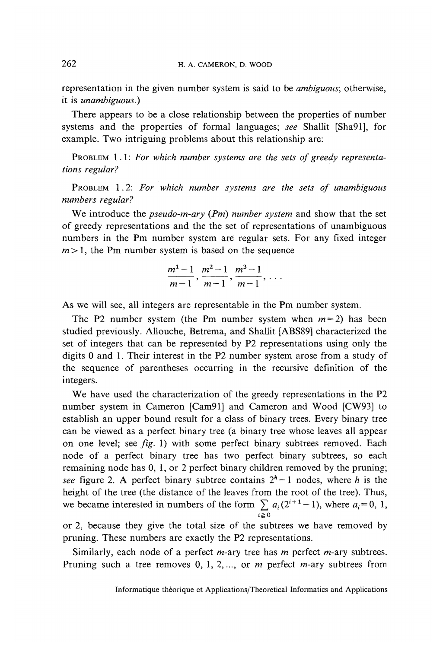representation in the given number system is said to be *ambiguous*; otherwise, it is *unambiguous.)*

There appears to be a close relationship between the properties of number Systems and the properties of formai languages; *see* Shallit [Sha91], for example. Two intriguing problems about this relationship are:

PROBLEM 1.1: For which number systems are the sets of greedy representa*tions regular?*

PROBLEM 1.2: *For which number Systems are the sets of unambiguous numbers regular?*

We introducé the *pseudo-m-ary (Pm) number System* and show that the set of greedy representations and the the set of representations of unambiguous numbers in the Pm number System are regular sets. For any fixed integer  $m>1$ , the Pm number system is based on the sequence

$$
\frac{m^1-1}{m-1}, \frac{m^2-1}{m-1}, \frac{m^3-1}{m-1}, \ldots
$$

As we will see, all integers are representable in the Pm number system.

The P2 number system (the Pm number system when  $m = 2$ ) has been studied previously. Allouche, Betrema, and Shallit [ABS89] characterized the set of integers that can be represented by P2 representations using only the digits 0 and 1. Their interest in the P2 number System arose from a study of the sequence of parentheses occurring in the recursive definition of the integers.

We have used the characterization of the greedy representations in the P2 number System in Cameron [Cam91] and Cameron and Wood [CW93] to establish an upper bound resuit for a class of binary trees. Every binary tree can be viewed as a perfect binary tree (a binary tree whose leaves ail appear on one level; see *fig.* 1) with some perfect binary subtrees removed. Each node of a perfect binary tree has two perfect binary subtrees, so each remaining node has 0, 1, or 2 perfect binary children removed by the pruning; see figure 2. A perfect binary subtree contains  $2^h - 1$  nodes, where *h* is the height of the tree (the distance of the leaves from the root of the tree). Thus, we became interested in numbers of the form  $\sum a_i(2^{i+1}-1)$ , where  $a_i=0, 1$ ,

or 2, because they give the total size of the subtrees we have removed by pruning. These numbers are exactly the P2 representations.

Similarly, each node of a perfect m-ary tree has *m* perfect m-ary subtrees. Pruning such a tree removes 0, 1, 2,..., or *m* perfect m-ary subtrees from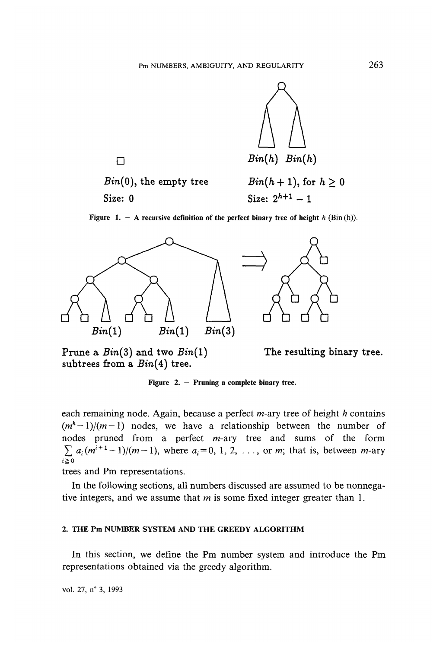

 $Bin(0)$ , the empty tree  $Bin(h + 1)$ , for  $h \geq 0$ Size:  $0$  Size:  $2^{h+1} - 1$ 

**Figure 1. — A recursive définition of the perfect binary tree of height** *h* **(Bin (h)).**



Prune a *Bin(Z)* and two *Bin(l)* subtrees from a  $Bin(4)$  tree.

The resulting binary tree.

Figure 2. – Pruning a complete binary tree.

each remaining node. Again, because a perfect m-ary tree of height *h* contains  $(m<sup>h</sup>-1)/(m-1)$  nodes, we have a relationship between the number of nodes pruned from a perfect m-ary tree and sums of the form  $\sum a_i(m^{i+1}-1)/(m-1)$ , where  $a_i = 0, 1, 2, \ldots$ , or m; that is, between m-ary  $i > 0$ 

trees and Pm representations.

In the following sections, all numbers discussed are assumed to be nonnegative integers, and we assume that *m* is some fixed integer greater than 1.

#### **2. THE Pm NUMBER SYSTEM AND THE GREEDY ALGORITHM**

In this section, we define the Pm number system and introducé the Pm representations obtained via the greedy algorithm.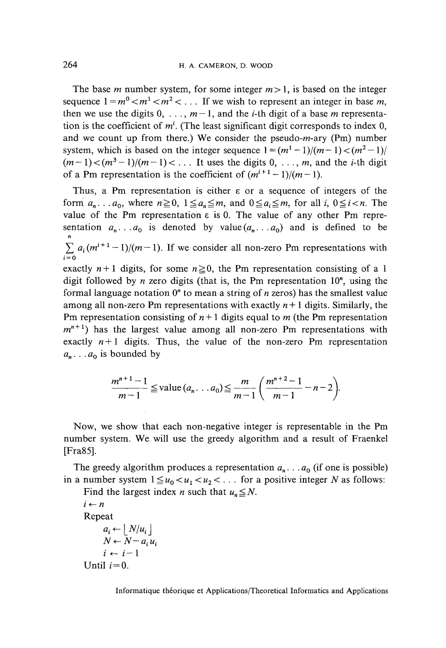The base *m* number system, for some integer  $m>1$ , is based on the integer sequence  $1 = m^0 < m^1 < m^2 < ...$  If we wish to represent an integer in base m, then we use the digits  $0, \ldots, m-1$ , and the *i*-th digit of a base *m* representation is the coefficient of  $m<sup>i</sup>$ . (The least significant digit corresponds to index 0, and we count up from there.) We consider the pseudo-m-ary (Pm) number system, which is based on the integer sequence  $1 = (m^1 - 1)/(m - 1) < (m^2 - 1)/$  $(m-1) < (m^3-1)/(m-1) < \ldots$  It uses the digits 0, ..., m, and the *i*-th digit of a Pm representation is the coefficient of  $(m^{i+1}-1)/(m-1)$ .

Thus, a Pm representation is either  $\varepsilon$  or a sequence of integers of the form  $a_n \nvert a_0$ , where  $n \ge 0$ ,  $1 \le a_n \le m$ , and  $0 \le a_i \le m$ , for all i,  $0 \le i < n$ . The value of the Pm representation  $\varepsilon$  is 0. The value of any other Pm representation  $a_n \nvert a_0$  is denoted by value $(a_n \nvert a_0)$  and is defined to be  $\sum_{i=1}^{n} a_i (m^{i+1}-1)/(m-1)$ . If we consider all non-zero Pm representations with **i = 0** exactly  $n+1$  digits, for some  $n \ge 0$ , the Pm representation consisting of a 1 digit followed by  $n$  zero digits (that is, the Pm representation  $10<sup>n</sup>$ , using the formal language notation  $0<sup>n</sup>$  to mean a string of *n* zeros) has the smallest value among all non-zero Pm representations with exactly  $n+1$  digits. Similarly, the Pm representation consisting of  $n+1$  digits equal to m (the Pm representation  $m^{n+1}$ ) has the largest value among all non-zero Pm representations with exactly  $n+1$  digits. Thus, the value of the non-zero Pm representation  $a_n \ldots a_0$  is bounded by

$$
\frac{m^{n+1}-1}{m-1} \leq \text{value} \ (a_n \dots a_0) \leq \frac{m}{m-1} \left( \frac{m^{n+2}-1}{m-1} - n - 2 \right).
$$

Now, we show that each non-negative integer is representable in the Pm number system. We will use the greedy algorithm and a result of Fraenkel [Fra85],

The greedy algorithm produces a representation  $a_n$ . . .  $a_0$  (if one is possible) in a number system  $1 \le u_0 < u_1 < u_2 < \ldots$  for a positive integer *N* as follows:

Find the largest index *n* such that  $u_n \leq N$ .

 $i \leftarrow n$ Repeat  $a_i \leftarrow |N/u_i|$  $N \leftarrow N - a_i u_i$ <br>*i*  $\leftarrow i-1$ Until  $i = 0$ .

Informatique théorique et Applications/Theoretical Informaties and Applications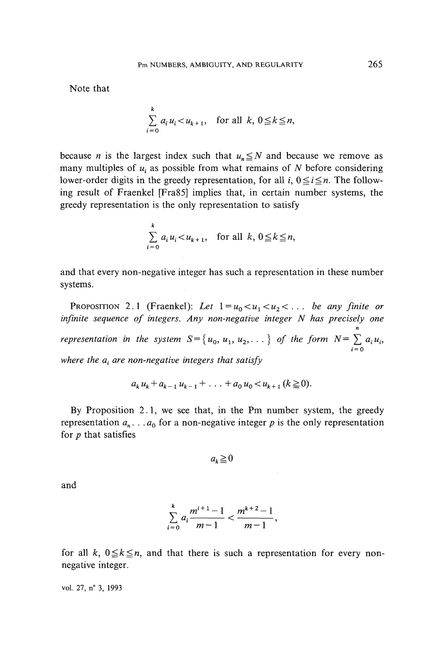Note that

$$
\sum_{i=0}^{k} a_i u_i < u_{k+1}, \quad \text{for all } k, 0 \le k \le n,
$$

because *n* is the largest index such that  $u_n \leq N$  and because we remove as many multiples of  $u_i$  as possible from what remains of  $N$  before considering lower-order digits in the greedy representation, for all i,  $0 \le i \le n$ . The following result of Fraenkel [Fra85] implies that, in certain number Systems, the greedy representation is the only representation to satisfy

$$
\sum_{i=0}^{k} a_i u_i < u_{k+1}, \quad \text{for all } k, 0 \le k \le n,
$$

and that every non-negative integer has such a representation in these number systems.

PROPOSITION 2.1 (Fraenkel): Let  $1 = u_0 < u_1 < u_2 < \dots$  be any finite or *infinite sequence of integers. Any non-negative integer N has precisely one n representation in the system*  $S = \{u_0, u_1, u_2, \dots\}$  *of the form*  $N = \sum a_i u_i$ **i = 0** *where the a<sup>t</sup> are non-negative integers that satisfy*

$$
a_k u_k + a_{k-1} u_{k-1} + \ldots + a_0 u_0 < u_{k+1} (k \ge 0).
$$

By Proposition 2.1, we see that, in the Pm number system, the greedy representation  $a_n$ . . .  $a_0$  for a non-negative integer p is the only representation for *p* that satisfies

$$
a_k \geq 0
$$

and

$$
\sum_{i=0}^{k} a_i \frac{m^{i+1}-1}{m-1} < \frac{m^{k+2}-1}{m-1},
$$

for all k,  $0 \le k \le n$ , and that there is such a representation for every nonnegative integer.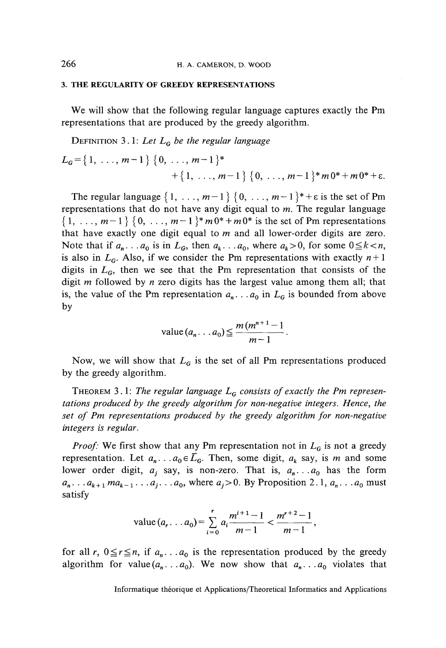#### **3. THE REGULARITY OF GREEDY REPRESENTATIONS**

We will show that the following regular language captures exactly the Pm representations that are produced by the greedy algorithm.

DÉFINITION 3.1: *Let LG be the regular language*

$$
L_G = \{1, \ldots, m-1\} \{0, \ldots, m-1\}^*
$$
  
+  $\{1, \ldots, m-1\} \{0, \ldots, m-1\}^* m 0^* + m 0^* + \varepsilon$ .

The regular language  $\{1, \ldots, m-1\}$   $\{0, \ldots, m-1\}^* + \varepsilon$  is the set of Pm representations that do not have any digit equal to  $m$ . The regular language  $\{1, \ldots, m-1\}$   $\{0, \ldots, m-1\}^* m 0^* + m 0^*$  is the set of Pm representations that have exactly one digit equal to *m* and ail lower-order digits are zero. Note that if  $a_n \, \ldots \, a_0$  is in  $L_6$ , then  $a_k \ldots a_0$ , where  $a_k > 0$ , for some  $0 \le k < n$ , is also in  $L_G$ . Also, if we consider the Pm representations with exactly  $n+1$ digits in  $L<sub>G</sub>$ , then we see that the Pm representation that consists of the digit m followed by *n* zero digits has the largest value among them ail; that is, the value of the Pm representation  $a_n$ . . .  $a_0$  in  $L_G$  is bounded from above by

value 
$$
(a_n \dots a_0) \leq \frac{m(m^{n+1}-1)}{m-1}
$$
.

Now, we will show that  $L<sub>G</sub>$  is the set of all Pm representations produced by the greedy algorithm.

THEOREM 3.1: The regular language  $L_G$  consists of exactly the Pm represen*tations produced by the greedy algorithm for non-negative integers. Hence, the* set of Pm representations produced by the greedy algorithm for non-negative *integers is regular.* 

*Proof:* We first show that any Pm representation not in  $L<sub>G</sub>$  is not a greedy représentation. Let *an.* . *.aoeLG.* Then, some digit, *ak* say, is m and some lower order digit,  $a_j$  say, is non-zero. That is,  $a_n \ldots a_0$  has the form  $a_n$ . . .  $a_{k+1}$  *ma*<sub>k-1</sub> . . .  $a_j$ . . .  $a_0$ , where  $a_j > 0$ . By Proposition 2.1,  $a_n$ . . .  $a_0$  must satisfy

value 
$$
(a_r \dots a_0) = \sum_{i=0}^r a_i \frac{m^{i+1}-1}{m-1} < \frac{m^{r+2}-1}{m-1}
$$
,

for all r,  $0 \le r \le n$ , if  $a_n \dots a_0$  is the representation produced by the greedy algorithm for value $(a_n, a_0)$ . We now show that  $a_n, a_0$  violates that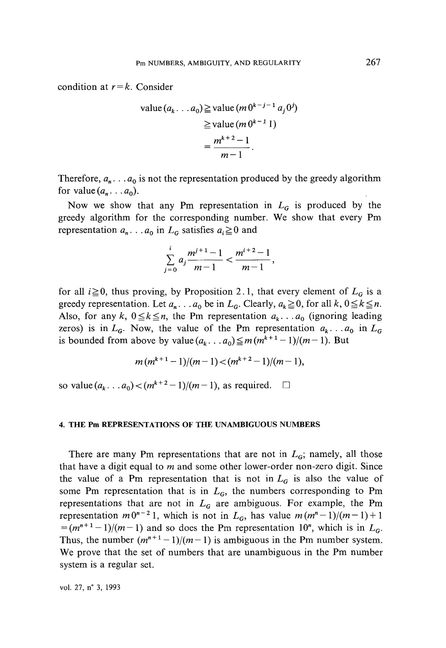condition at  $r = k$ . Consider

value 
$$
(a_k \dots a_0) \ge \text{value } (m 0^{k-j-1} a_j 0^j)
$$
  
\n
$$
\ge \text{value } (m 0^{k-1} 1)
$$
\n
$$
= \frac{m^{k+2} - 1}{m - 1}.
$$

Therefore,  $a_n \dots a_0$  is not the representation produced by the greedy algorithm for value  $(a_n \ldots a_0)$ .

Now we show that any Pm representation in  $L_G$  is produced by the greedy algorithm for the corresponding number. We show that every Pm representation  $a_n$ . . .  $a_0$  in  $L_G$  satisfies  $a_i \ge 0$  and

$$
\sum_{j=0}^i a_j \frac{m^{j+1}-1}{m-1} < \frac{m^{i+2}-1}{m-1},
$$

for all  $i \ge 0$ , thus proving, by Proposition 2.1, that every element of  $L_G$  is a greedy representation. Let  $a_n$ . . .  $a_0$  be in  $L_G$ . Clearly,  $a_k \ge 0$ , for all  $k, 0 \le k \le n$ . Also, for any  $k$ ,  $0 \le k \le n$ , the Pm representation  $a_k \ldots a_0$  (ignoring leading zeros) is in  $L_G$ . Now, the value of the Pm representation  $a_k \nvert a_0$  in  $L_G$ is bounded from above by value  $(a_k \dots a_0) \leq m(m^{k+1} - 1)/(m - 1)$ . But

$$
m(m^{k+1}-1)/(m-1) < (m^{k+2}-1)/(m-1),
$$

so value $(a_k \dots a_0) < (m^{k+2}-1)/(m-1)$ , as required.  $\square$ 

#### **4. THE Pm REPRESENTATIONS OF THE UNAMBIGUOUS NUMBERS**

There are many Pm representations that are not in  $L_G$ ; namely, all those that have a digit equal to *m* and some other lower-order non-zero digit. Since the value of a Pm representation that is not in  $L<sub>G</sub>$  is also the value of some Pm representation that is in  $L_G$ , the numbers corresponding to Pm representations that are not in  $L<sub>G</sub>$  are ambiguous. For example, the Pm representation  $m0^{n-2}$  1, which is not in  $L_G$ , has value  $m(m^n-1)/(m-1)+1$  $=$   $(m^{n+1}-1)/(m-1)$  and so does the Pm representation 10<sup>n</sup>, which is in  $L<sub>G</sub>$ . Thus, the number  $(m^{n+1}-1)/(m-1)$  is ambiguous in the Pm number system. We prove that the set of numbers that are unambiguous in the Pm number system is a regular set.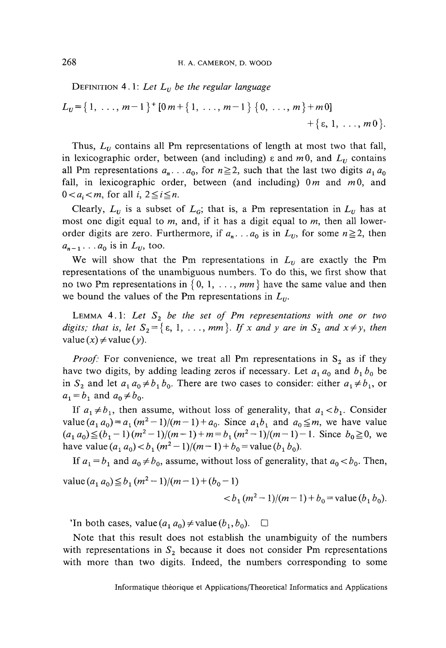DEFINITION 4.1: Let  $L_{U}$  be the regular language

$$
L_U = \{ 1, \ldots, m-1 \}^+ [0 \, m + \{ 1, \ldots, m-1 \} \, \{ 0, \ldots, m \} + m \, 0] + \{ \varepsilon, 1, \ldots, m \}.
$$

Thus,  $L<sub>U</sub>$  contains all Pm representations of length at most two that fall, in lexicographic order, between (and including)  $\varepsilon$  and  $m0$ , and  $L<sub>U</sub>$  contains all Pm representations  $a_n$ ... $a_0$ , for  $n \ge 2$ , such that the last two digits  $a_1 a_0$ fall, in lexicographic order, between (and including)  $0m$  and  $m0$ , and  $0 < a_i < m$ , for all  $i, 2 \le i \le n$ .

Clearly,  $L_v$  is a subset of  $L_g$ ; that is, a Pm representation in  $L_v$  has at most one digit equal to *m*, and, if it has a digit equal to *m*, then all lowerorder digits are zero. Furthermore, if  $a_n \nvert a_0$  is in  $L_v$ , for some  $n \ge 2$ , then  $a_{n-1} \ldots a_0$  is in  $L_u$ , too.

We will show that the Pm representations in  $L_v$  are exactly the Pm representations of the unambiguous numbers. To do this, we first show that no two Pm representations in  $\{0, 1, \ldots, m\}$  have the same value and then we bound the values of the Pm representations in  $L_v$ .

LEMMA 4.1: Let  $S_2$  be the set of Pm representations with one or two *digits; that is, let*  $S_2 = \{ \varepsilon, 1, \ldots, m m \}$ *. If x and y are in*  $S_2$  *and*  $x \neq y$ *, then*  $value(x) \neq value(y)$ .

*Proof:* For convenience, we treat all Pm representations in  $S_2$  as if they have two digits, by adding leading zeros if necessary. Let  $a_1 a_0$  and  $b_1 b_0$  be in  $S_2$  and let  $a_1 a_0 \neq b_1 b_0$ . There are two cases to consider: either  $a_1 \neq b_1$ , or  $a_1 = b_1$  and  $a_0 \neq b_0$ .

If  $a_1 \neq b_1$ , then assume, without loss of generality, that  $a_1 < b_1$ . Consider value  $(a_1 a_0) = a_1 (m^2 - 1)/(m - 1) + a_0$ . Since  $a_1 b_1$  and  $a_0 \le m$ , we have value  $(a_1 a_0) \le (b_1 - 1)(m^2 - 1)/(m - 1) + m = b_1(m^2 - 1)/(m - 1) - 1$ . Since  $b_0 \ge 0$ , we have value  $(a_1 a_0) < b_1 (m^2 - 1)/(m - 1) + b_0 =$  value  $(b_1 b_0)$ .

If  $a_1 = b_1$  and  $a_0 \neq b_0$ , assume, without loss of generality, that  $a_0 < b_0$ . Then,

 $\text{value} (a_1 a_0) \leq b_1 (m^2 - 1)/(m - 1) + (b_0 - 1)$ 

$$
b1(m2-1)/(m-1)+b0=value(b1b0).
$$

'In both cases, value $(a_1 a_0) \neq$ value $(b_1, b_0)$ .  $\Box$ 

Note that this resuit does not establish the unambiguity of the numbers with representations in  $S_2$  because it does not consider Pm representations with more than two digits. Indeed, the numbers corresponding to some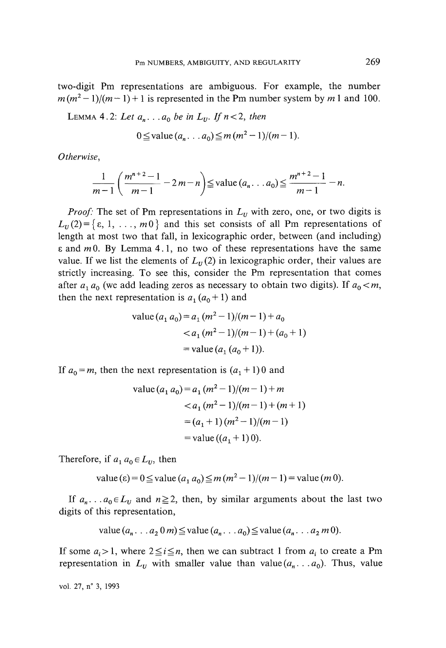two-digit Pm representations are ambiguous. For example, the number  $m(m^2-1)/(m-1)+1$  is represented in the Pm number system by m 1 and 100.

LEMMA 4.2: Let  $a_n$ ... $a_0$  be in  $L_v$ . If  $n < 2$ , then

$$
0 \leq \text{value} (a_n \dots a_0) \leq m (m^2 - 1)/(m - 1).
$$

*Otherwise,*

$$
\frac{1}{m-1}\left(\frac{m^{n+2}-1}{m-1}-2m-n\right)\leq \text{value }(a_n\ldots a_0)\leq \frac{m^{n+2}-1}{m-1}-n.
$$

*Proof:* The set of Pm representations in  $L<sub>U</sub>$  with zero, one, or two digits is  $L_n(2) = \{ \varepsilon, 1, \ldots, m0 \}$  and this set consists of all Pm representations of length at most two that fall, in lexicographic order, between (and including)  $\varepsilon$  and m0. By Lemma 4.1, no two of these representations have the same value. If we list the elements of  $L<sub>U</sub>(2)$  in lexicographic order, their values are strictly increasing. To see this, consider the Pm representation that comes after  $a_1 a_0$  (we add leading zeros as necessary to obtain two digits). If  $a_0 < m$ , then the next representation is  $a_1(a_0+1)$  and

value 
$$
(a_1 a_0) = a_1 (m^2 - 1)/(m - 1) + a_0
$$
  
 $< a_1 (m^2 - 1)/(m - 1) + (a_0 + 1)$   
 $= \text{value} (a_1 (a_0 + 1)).$ 

If  $a_0 = m$ , then the next representation is  $(a_1 + 1)0$  and

value 
$$
(a_1 a_0) = a_1 (m^2 - 1)/(m - 1) + m
$$
  
\n $< a_1 (m^2 - 1)/(m - 1) + (m + 1)$   
\n $= (a_1 + 1) (m^2 - 1)/(m - 1)$   
\n $= \text{value} ((a_1 + 1) 0).$ 

Therefore, if  $a_1 a_0 \in L_U$ , then

value (ε) = 0 ≤ value 
$$
(a_1 a_0)
$$
 ≤  $m(m^2 - 1)/(m - 1)$  = value  $(m 0)$ .

If  $a_n \nvert a_0 \in L_v$  and  $n \ge 2$ , then, by similar arguments about the last two digits of this representation,

value 
$$
(a_n \dots a_2 \cdot 0 \cdot m) \leq \text{value } (a_n \dots a_0) \leq \text{value } (a_n \dots a_2 \cdot m \cdot 0).
$$

If some  $a_i > 1$ , where  $2 \leq i \leq n$ , then we can subtract 1 from  $a_i$  to create a Pm representation in  $L_U$  with smaller value than value  $(a_n, \ldots, a_0)$ . Thus, value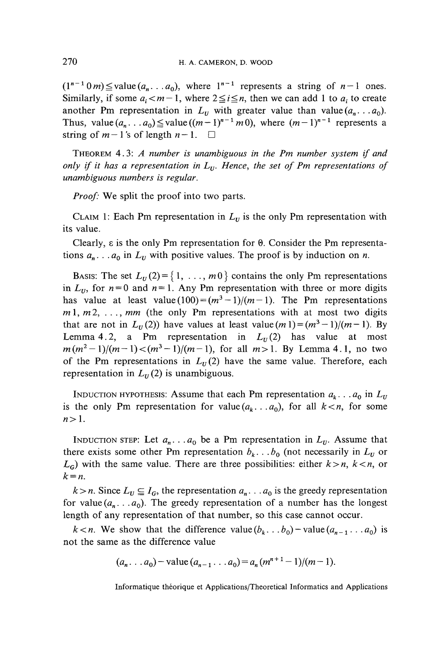$(1^{n-1} 0 m)$   $\leq$  value  $(a_n \dots a_0)$ , where  $1^{n-1}$  represents a string of  $n-1$  ones. Similarly, if some  $a_i < m-1$ , where  $2 \leq i \leq n$ , then we can add 1 to  $a_i$  to create another Pm representation in  $L<sub>U</sub>$  with greater value than value  $(a_n \ldots a_0)$ . Thus, value  $(a_n \dots a_0) \leq$  value  $((m-1)^{n-1} \cdot m \cdot 0)$ , where  $(m-1)^{n-1}$  represents a string of  $m-1$ 's of length  $n-1$ .  $\square$ 

THEOREM 4.3: *A number is unambiguous in the Pm number system if and only if it has a représentation in Lv. Hence, the set of Pm représentations of unambiguous numbers is regular.*

*Proof:* We split the proof into two parts.

CLAIM 1: Each Pm representation in  $L<sub>U</sub>$  is the only Pm representation with its value.

Clearly,  $\epsilon$  is the only Pm representation for  $\theta$ . Consider the Pm representations  $a_n$ ...  $a_0$  in  $L_v$  with positive values. The proof is by induction on *n*.

BASIS: The set  $L_v(2) = \{1, \ldots, m0\}$  contains the only Pm representations in  $L_{U}$ , for  $n = 0$  and  $n = 1$ . Any Pm representation with three or more digits has value at least value  $(100) = (m^3 - 1)/(m - 1)$ . The Pm representations  $m_1, m_2, \ldots, mn$  (the only Pm representations with at most two digits that are not in  $L_v(2)$ ) have values at least value  $(m_1) = (m^3 - 1)/(m - 1)$ . By Lemma 4.2, a Pm representation in  $L<sub>U</sub>(2)$  has value at most  $m(m^2-1)/(m-1) < (m^3-1)/(m-1)$ , for all  $m>1$ . By Lemma 4.1, no two of the Pm representations in  $L_v(2)$  have the same value. Therefore, each representation in  $L<sub>v</sub>(2)$  is unambiguous.

INDUCTION HYPOTHESIS: Assume that each Pm representation  $a_k \ldots a_0$  in  $L_y$ is the only Pm representation for value  $(a_k, a_0)$ , for all  $k < n$ , for some  $n>1$ .

INDUCTION STEP: Let  $a_n \nvert a_0$  be a Pm representation in  $L_v$ . Assume that there exists some other Pm representation  $b_k$ ...  $b_0$  (not necessarily in  $L_v$  or  $L_G$  with the same value. There are three possibilities: either  $k > n$ ,  $k < n$ , or *k = n.*

 $k>n$ . Since  $L_v \subseteq I_G$ , the representation  $a_n \dots a_0$  is the greedy representation for value  $(a_n \ldots a_0)$ . The greedy representation of a number has the longest length of any representation of that number, so this case cannot occur.

*k* < *n*. We show that the difference value  $(b_k, b_0)$  – value  $(a_{n-1}, a_0)$  is not the same as the différence value

$$
(a_n \dots a_0)
$$
 - value  $(a_{n-1} \dots a_0) = a_n (m^{n+1} - 1)/(m-1)$ .

Informatique théorique et Applications/Theoretical Informaties and Applications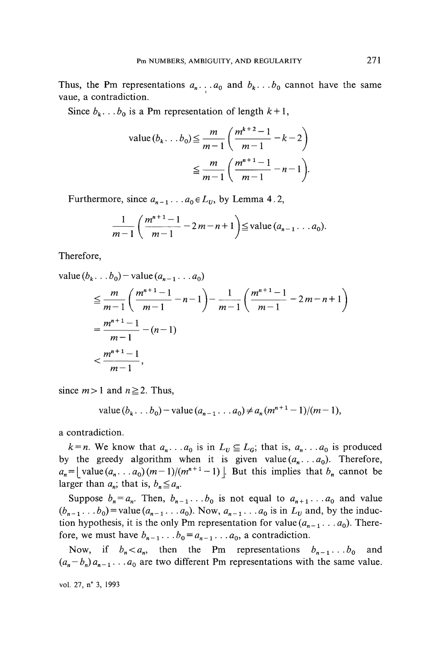Thus, the Pm representations  $a_n \nvert a_0$  and  $b_k \nvert b_0$  cannot have the same vaue, a contradiction.

Since  $b_k$ . . .  $b_0$  is a Pm representation of length  $k+1$ ,

value 
$$
(b_k...b_0) \le \frac{m}{m-1} \left( \frac{m^{k+2}-1}{m-1} - k - 2 \right)
$$
  

$$
\le \frac{m}{m-1} \left( \frac{m^{n+1}-1}{m-1} - n - 1 \right).
$$

Furthermore, since  $a_{n-1}$ . . .  $a_0 \in L_U$ , by Lemma 4.2,

$$
\frac{1}{m-1}\left(\frac{m^{n+1}-1}{m-1}-2m-n+1\right)\leq \text{value } (a_{n-1}\ldots a_0).
$$

Therefore,

value 
$$
(b_k \tldots b_0)
$$
 - value  $(a_{n-1} \tldots a_0)$   
\n
$$
\leq \frac{m}{m-1} \left( \frac{m^{n+1}-1}{m-1} - n - 1 \right) - \frac{1}{m-1} \left( \frac{m^{n+1}-1}{m-1} - 2m - n + 1 \right)
$$
\n
$$
= \frac{m^{n+1}-1}{m-1} - (n-1)
$$
\n
$$
< \frac{m^{n+1}-1}{m-1},
$$

since  $m>1$  and  $n \ge 2$ . Thus,

value 
$$
(b_k... b_0)
$$
 - value  $(a_{n-1}... a_0) \neq a_n (m^{n+1}-1)/(m-1)$ ,

a contradiction.

 $k = n$ . We know that  $a_n \dots a_0$  is in  $L_U \subseteq L_G$ ; that is,  $a_n \dots a_0$  is produced by the greedy algorithm when it is given value  $(a_n, a_0)$ . Therefore,  $a_n = \left[$  value $(a_n \dots a_0)(m-1)/(m^{n+1}-1) \right]$ . But this implies that  $b_n$  cannot be larger than  $a_n$ ; that is,  $b_n \leq a_n$ .

Suppose  $b_n = a_n$ . Then,  $b_{n-1} \ldots b_0$  is not equal to  $a_{n+1} \ldots a_0$  and value  $(b_{n-1} \ldots b_0)$  = value  $(a_{n-1} \ldots a_0)$ . Now,  $a_{n-1} \ldots a_0$  is in  $L_v$  and, by the induction hypothesis, it is the only Pm representation for value  $(a_{n-1} \ldots a_0)$ . Therefore, we must have  $b_{n-1}$ . . .  $b_0 = a_{n-1}$ . . .  $a_0$ , a contradiction.

Now, if  $b_n < a_n$ , then the Pm representations  $b_{n-1} \ldots b_0$  and  $(a_n - b_n)a_{n-1} \ldots a_0$  are two different Pm representations with the same value.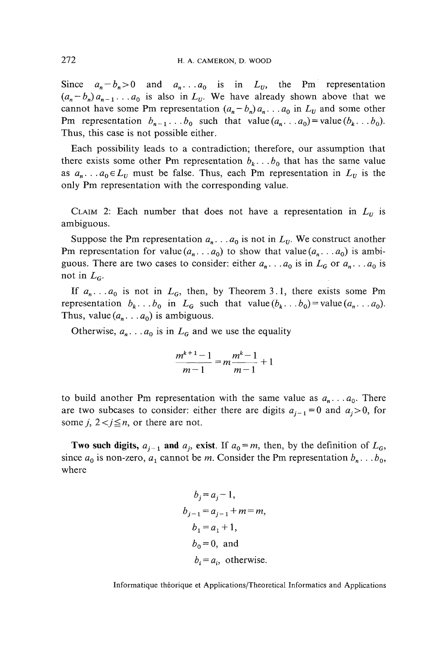Since  $a_n - b_n > 0$  and  $a_n \dots a_0$  is in  $L_v$ , the Pm representation  $(a_n - b_n)a_{n-1} \ldots a_0$  is also in  $L_{ij}$ . We have already shown above that we cannot have some Pm representation  $(a_n - b_n)a_n$ ...  $a_0$  in  $L_v$  and some other Pm representation  $b_{n-1}$ ...b<sub>0</sub> such that value  $(a_n, a_0)$  = value  $(b_k, b_0)$ . Thus, this case is not possible either.

Each possibility leads to a contradiction; therefore, our assumption that there exists some other Pm representation  $b_k$ ...  $b_0$  that has the same value as  $a_n$ ... $a_0 \in L$  must be false. Thus, each Pm representation in  $L$ <sup>*v*</sup> is the only Pm representation with the corresponding value.

CLAIM 2: Each number that does not have a representation in  $L<sub>U</sub>$  is ambiguous.

Suppose the Pm representation  $a_n$ . . .  $a_0$  is not in  $L_v$ . We construct another Pm representation for value  $(a_n \tcdot a_0)$  to show that value  $(a_n \tcdot a_0)$  is ambiguous. There are two cases to consider: either  $a_n$ ...  $a_0$  is in  $L_G$  or  $a_n$ ...  $a_0$  is not in  $L_c$ .

If  $a_n \dots a_0$  is not in  $L_G$ , then, by Theorem 3.1, there exists some Pm representation  $b_k$ . . .  $b_0$  in  $L_G$  such that value $(b_k, b_0)$  = value  $(a_n, a_0)$ . Thus, value  $(a_n \dots a_0)$  is ambiguous.

Otherwise,  $a_n \nvert a_0$  is in  $L_G$  and we use the equality

$$
\frac{m^{k+1}-1}{m-1} = m\frac{m^k-1}{m-1} + 1
$$

to build another Pm representation with the same value as  $a_n \nvert a_0$ . There are two subcases to consider: either there are digits  $a_{j-1} = 0$  and  $a_j > 0$ , for some  $j$ ,  $2 < j \leq n$ , or there are not.

**Two such digits,**  $a_{i-1}$  and  $a_i$ , exist. If  $a_0 = m$ , then, by the definition of  $L_G$ , since  $a_0$  is non-zero,  $a_1$  cannot be m. Consider the Pm representation  $b_n$ . . .  $b_0$ , where

$$
b_j = a_j - 1,
$$
  
\n
$$
b_{j-1} = a_{j-1} + m = m,
$$
  
\n
$$
b_1 = a_1 + 1,
$$
  
\n
$$
b_0 = 0, \text{ and}
$$
  
\n
$$
b_i = a_i, \text{ otherwise.}
$$

Informatique théorique et Applications/Theoretical Informaties and Applications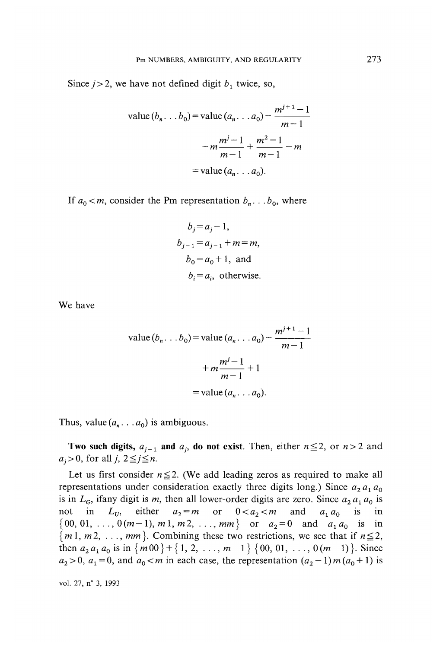Since  $j > 2$ , we have not defined digit  $b_1$  twice, so,

value 
$$
(b_n \tldots b_0)
$$
 = value  $(a_n \tldots a_0)$  -  $\frac{m^{j+1}-1}{m-1}$   
+  $m \frac{m^j-1}{m-1} + \frac{m^2-1}{m-1} - m$   
= value  $(a_n \tldots a_0)$ .

If  $a_0 < m$ , consider the Pm representation  $b_n \dots b_0$ , where

$$
b_j = a_j - 1,
$$
  
\n
$$
b_{j-1} = a_{j-1} + m = m,
$$
  
\n
$$
b_0 = a_0 + 1, \text{ and}
$$
  
\n
$$
b_i = a_i, \text{ otherwise.}
$$

We have

value 
$$
(b_n \tldots b_0)
$$
 = value  $(a_n \tldots a_0)$  -  $\frac{m^{j+1}-1}{m-1}$   
+  $m \frac{m^j-1}{m-1} + 1$   
= value  $(a_n \tldots a_0)$ .

Thus, value  $(a_n \dots a_0)$  is ambiguous.

**Two such digits,**  $a_{j-1}$  and  $a_j$ , do not exist. Then, either  $n \le 2$ , or  $n>2$  and  $a_i>0$ , for all *j*,  $2 \leq j \leq n$ .

Let us first consider  $n \le 2$ . (We add leading zeros as required to make all representations under consideration exactly three digits long.) Since  $a_2a_1a_0$ is in  $L_6$ , ifany digit is *m*, then all lower-order digits are zero. Since  $a_2 a_1 a_0$  is not in  $L_v$ , either  $a_2 = m$  or  $0 < a_2 < m$  and  $a_1 a_0$  is in  $\{00, 01, \ldots, 0(m-1), m1, m2, \ldots, mm\}$  or  $a_2 = 0$  and  $a_1 a_0$  is in  ${m1, m2, \ldots, mm}$ . Combining these two restrictions, we see that if  $n \le 2$ , then  $a_2 a_1 a_0$  is in  $\{m00\} + \{1, 2, ..., m-1\}$   $\{00, 01, ..., 0(m-1)\}$ . Since  $a_2 > 0$ ,  $a_1 = 0$ , and  $a_0 < m$  in each case, the representation  $(a_2 - 1)m(a_0 + 1)$  is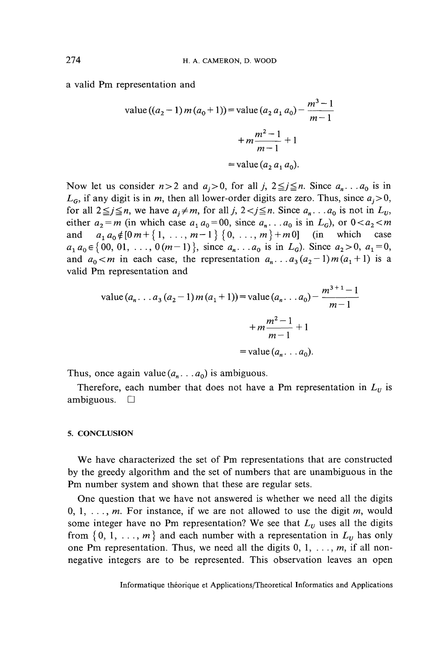a valid Pm representation and

value 
$$
((a_2 - 1) m (a_0 + 1))
$$
 = value  $(a_2 a_1 a_0)$  -  $\frac{m^3 - 1}{m - 1}$   
+  $m \frac{m^2 - 1}{m - 1} + 1$   
= value  $(a_2 a_1 a_0)$ .

Now let us consider  $n > 2$  and  $a_i > 0$ , for all j,  $2 \leq j \leq n$ . Since  $a_n \dots a_0$  is in  $L_G$ , if any digit is in m, then all lower-order digits are zero. Thus, since  $a_i>0$ , for all  $2 \leq j \leq n$ , we have  $a_j \neq m$ , for all *j*,  $2 < j \leq n$ . Since  $a_n \dots a_0$  is not in  $L_v$ , either  $a_2 = m$  (in which case  $a_1 a_0 = 00$ , since  $a_n \dots a_0$  is in  $L_G$ ), or  $0 < a_2 < m$ and  $a_1 a_0 \notin [0 \, m + \{1, \ldots, m - 1\} \{0, \ldots, m\} + m0]$  (in which case  $a_1 a_0 \in \{00, 01, \ldots, 0(m-1)\},$  since  $a_n \ldots a_0$  is in  $L_G$ ). Since  $a_2 > 0$ ,  $a_1 = 0$ , and  $a_0 < m$  in each case, the representation  $a_n \dots a_3(a_2-1)m(a_1+1)$  is a valid Pm representation and

value 
$$
(a_n \dots a_3 (a_2 - 1) m (a_1 + 1)) = \text{value } (a_n \dots a_0) - \frac{m^{3+1} - 1}{m - 1}
$$
  
+  $m \frac{m^2 - 1}{m - 1} + 1$   
= value  $(a_n \dots a_0)$ .

Thus, once again value  $(a_n \dots a_0)$  is ambiguous.

Therefore, each number that does not have a Pm representation in  $L<sub>U</sub>$  is ambiguous.  $\square$ 

#### **5. CONCLUSION**

We have characterized the set of Pm representations that are constructed by the greedy algorithm and the set of numbers that are unambiguous in the Pm number System and shown that these are regular sets.

One question that we have not answered is whether we need all the digits 0,1, . . ., *m.* For instance, if we are not allowed to use the digit *m,* would some integer have no Pm representation? We see that  $L<sub>v</sub>$  uses all the digits from  $\{0, 1, \ldots, m\}$  and each number with a representation in  $L_v$  has only one Pm representation. Thus, we need all the digits  $0, 1, \ldots, m$ , if all nonnegative integers are to be represented. This observation leaves an open